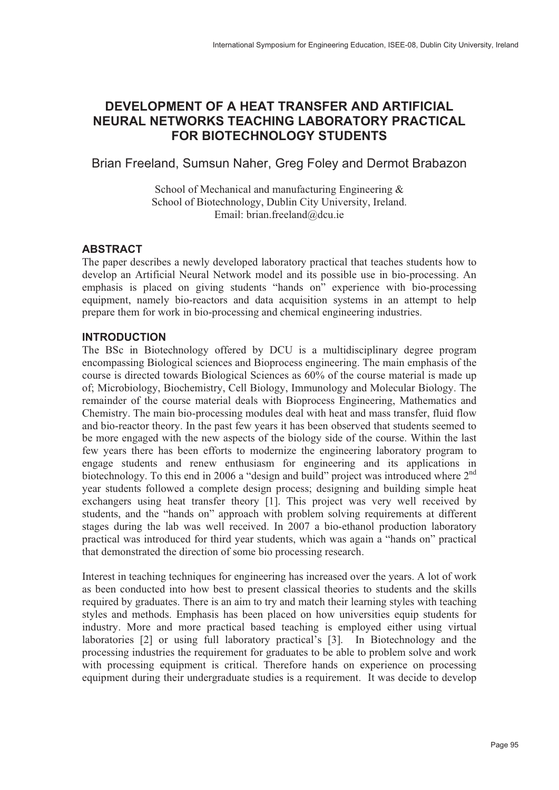# **DEVELOPMENT OF A HEAT TRANSFER AND ARTIFICIAL NEURAL NETWORKS TEACHING LABORATORY PRACTICAL FOR BIOTECHNOLOGY STUDENTS**

Brian Freeland, Sumsun Naher, Greg Foley and Dermot Brabazon

School of Mechanical and manufacturing Engineering & School of Biotechnology, Dublin City University, Ireland. Email: brian.freeland@dcu.ie

## **ABSTRACT**

The paper describes a newly developed laboratory practical that teaches students how to develop an Artificial Neural Network model and its possible use in bio-processing. An emphasis is placed on giving students "hands on" experience with bio-processing equipment, namely bio-reactors and data acquisition systems in an attempt to help prepare them for work in bio-processing and chemical engineering industries.

## **INTRODUCTION**

The BSc in Biotechnology offered by DCU is a multidisciplinary degree program encompassing Biological sciences and Bioprocess engineering. The main emphasis of the course is directed towards Biological Sciences as 60% of the course material is made up of; Microbiology, Biochemistry, Cell Biology, Immunology and Molecular Biology. The remainder of the course material deals with Bioprocess Engineering, Mathematics and Chemistry. The main bio-processing modules deal with heat and mass transfer, fluid flow and bio-reactor theory. In the past few years it has been observed that students seemed to be more engaged with the new aspects of the biology side of the course. Within the last few years there has been efforts to modernize the engineering laboratory program to engage students and renew enthusiasm for engineering and its applications in biotechnology. To this end in 2006 a "design and build" project was introduced where 2<sup>nd</sup> year students followed a complete design process; designing and building simple heat exchangers using heat transfer theory [1]. This project was very well received by students, and the "hands on" approach with problem solving requirements at different stages during the lab was well received. In 2007 a bio-ethanol production laboratory practical was introduced for third year students, which was again a "hands on" practical that demonstrated the direction of some bio processing research.

Interest in teaching techniques for engineering has increased over the years. A lot of work as been conducted into how best to present classical theories to students and the skills required by graduates. There is an aim to try and match their learning styles with teaching styles and methods. Emphasis has been placed on how universities equip students for industry. More and more practical based teaching is employed either using virtual laboratories [2] or using full laboratory practical's [3]. In Biotechnology and the processing industries the requirement for graduates to be able to problem solve and work with processing equipment is critical. Therefore hands on experience on processing equipment during their undergraduate studies is a requirement. It was decide to develop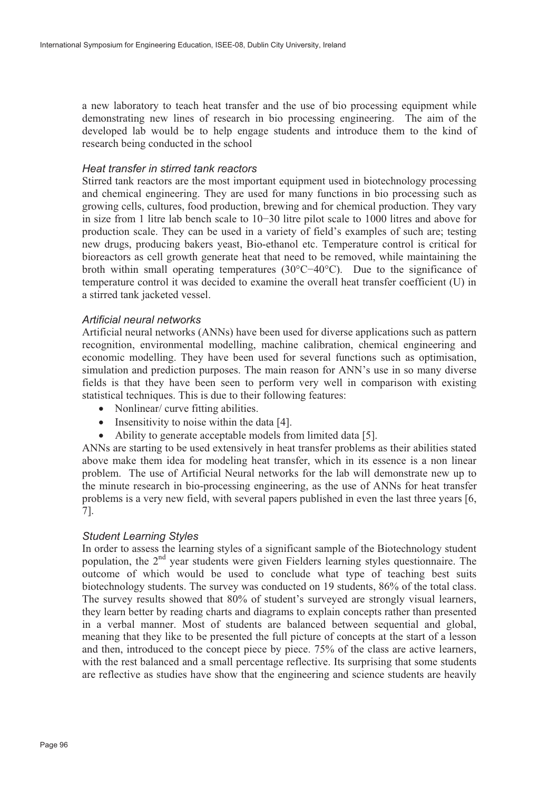a new laboratory to teach heat transfer and the use of bio processing equipment while demonstrating new lines of research in bio processing engineering. The aim of the developed lab would be to help engage students and introduce them to the kind of research being conducted in the school

#### *Heat transfer in stirred tank reactors*

Stirred tank reactors are the most important equipment used in biotechnology processing and chemical engineering. They are used for many functions in bio processing such as growing cells, cultures, food production, brewing and for chemical production. They vary in size from 1 litre lab bench scale to 10-30 litre pilot scale to 1000 litres and above for production scale. They can be used in a variety of field's examples of such are; testing new drugs, producing bakers yeast, Bio-ethanol etc. Temperature control is critical for bioreactors as cell growth generate heat that need to be removed, while maintaining the broth within small operating temperatures (30°C-40°C). Due to the significance of temperature control it was decided to examine the overall heat transfer coefficient (U) in a stirred tank jacketed vessel.

#### *Artificial neural networks*

Artificial neural networks (ANNs) have been used for diverse applications such as pattern recognition, environmental modelling, machine calibration, chemical engineering and economic modelling. They have been used for several functions such as optimisation, simulation and prediction purposes. The main reason for ANN's use in so many diverse fields is that they have been seen to perform very well in comparison with existing statistical techniques. This is due to their following features:

- Nonlinear/ curve fitting abilities.
- Insensitivity to noise within the data [4].
- Ability to generate acceptable models from limited data [5].

ANNs are starting to be used extensively in heat transfer problems as their abilities stated above make them idea for modeling heat transfer, which in its essence is a non linear problem. The use of Artificial Neural networks for the lab will demonstrate new up to the minute research in bio-processing engineering, as the use of ANNs for heat transfer problems is a very new field, with several papers published in even the last three years [6, 7].

#### *Student Learning Styles*

In order to assess the learning styles of a significant sample of the Biotechnology student population, the 2<sup>nd</sup> year students were given Fielders learning styles questionnaire. The outcome of which would be used to conclude what type of teaching best suits biotechnology students. The survey was conducted on 19 students, 86% of the total class. The survey results showed that 80% of student's surveyed are strongly visual learners, they learn better by reading charts and diagrams to explain concepts rather than presented in a verbal manner. Most of students are balanced between sequential and global, meaning that they like to be presented the full picture of concepts at the start of a lesson and then, introduced to the concept piece by piece. 75% of the class are active learners, with the rest balanced and a small percentage reflective. Its surprising that some students are reflective as studies have show that the engineering and science students are heavily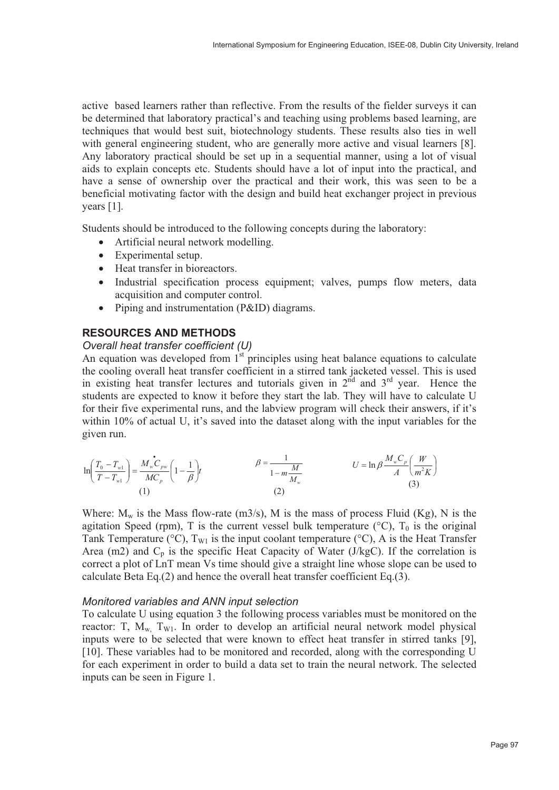active based learners rather than reflective. From the results of the fielder surveys it can be determined that laboratory practical's and teaching using problems based learning, are techniques that would best suit, biotechnology students. These results also ties in well with general engineering student, who are generally more active and visual learners [8]. Any laboratory practical should be set up in a sequential manner, using a lot of visual aids to explain concepts etc. Students should have a lot of input into the practical, and have a sense of ownership over the practical and their work, this was seen to be a beneficial motivating factor with the design and build heat exchanger project in previous years [1].

Students should be introduced to the following concepts during the laboratory:

- Artificial neural network modelling.
- Experimental setup.
- Heat transfer in bioreactors.
- Industrial specification process equipment; valves, pumps flow meters, data acquisition and computer control.
- Piping and instrumentation (P&ID) diagrams.

## **RESOURCES AND METHODS**

## *Overall heat transfer coefficient (U)*

An equation was developed from  $1<sup>st</sup>$  principles using heat balance equations to calculate the cooling overall heat transfer coefficient in a stirred tank jacketed vessel. This is used in existing heat transfer lectures and tutorials given in  $2<sup>nd</sup>$  and  $3<sup>rd</sup>$  year. Hence the students are expected to know it before they start the lab. They will have to calculate U for their five experimental runs, and the labview program will check their answers, if it's within 10% of actual U, it's saved into the dataset along with the input variables for the given run.

$$
\ln\left(\frac{T_0 - T_{w1}}{T - T_{w1}}\right) = \frac{M_w \mathcal{C}_{pw}}{MC_p} \left(1 - \frac{1}{\beta}\right) t
$$
\n
$$
\beta = \frac{1}{1 - m\frac{M}{M_w}} \qquad U = \ln \beta \frac{M_w \mathcal{C}_p}{A} \left(\frac{W}{m^2 K}\right)
$$
\n(3)

Where:  $M_w$  is the Mass flow-rate (m3/s), M is the mass of process Fluid (Kg), N is the agitation Speed (rpm), T is the current vessel bulk temperature ( $\rm{°C}$ ), T<sub>0</sub> is the original Tank Temperature (°C),  $T_{W1}$  is the input coolant temperature (°C), A is the Heat Transfer Area (m2) and  $C_p$  is the specific Heat Capacity of Water (J/kgC). If the correlation is correct a plot of LnT mean Vs time should give a straight line whose slope can be used to calculate Beta Eq.(2) and hence the overall heat transfer coefficient Eq.(3).

## *Monitored variables and ANN input selection*

To calculate U using equation 3 the following process variables must be monitored on the reactor: T,  $M_w$ ,  $T_{W1}$ . In order to develop an artificial neural network model physical inputs were to be selected that were known to effect heat transfer in stirred tanks [9], [10]. These variables had to be monitored and recorded, along with the corresponding U for each experiment in order to build a data set to train the neural network. The selected inputs can be seen in Figure 1.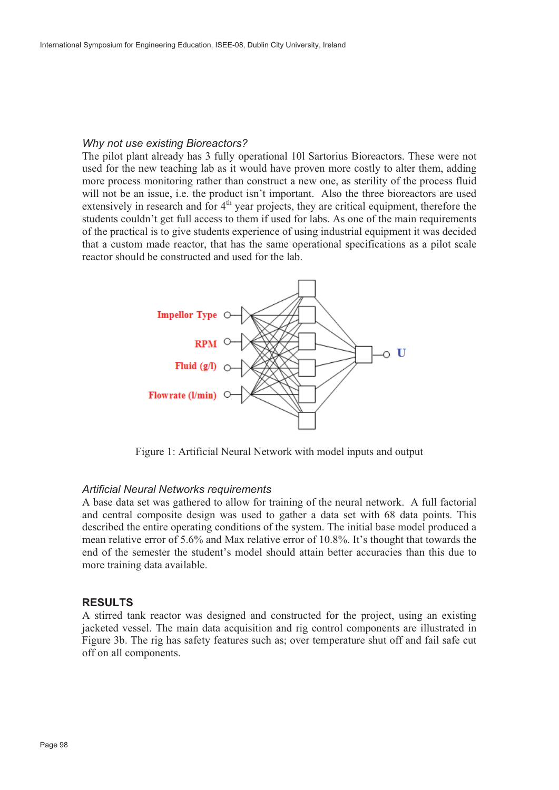### *Why not use existing Bioreactors?*

The pilot plant already has 3 fully operational 10l Sartorius Bioreactors. These were not used for the new teaching lab as it would have proven more costly to alter them, adding more process monitoring rather than construct a new one, as sterility of the process fluid will not be an issue, i.e. the product isn't important. Also the three bioreactors are used extensively in research and for  $4<sup>th</sup>$  year projects, they are critical equipment, therefore the students couldn't get full access to them if used for labs. As one of the main requirements of the practical is to give students experience of using industrial equipment it was decided that a custom made reactor, that has the same operational specifications as a pilot scale reactor should be constructed and used for the lab.



Figure 1: Artificial Neural Network with model inputs and output

#### *Artificial Neural Networks requirements*

A base data set was gathered to allow for training of the neural network. A full factorial and central composite design was used to gather a data set with 68 data points. This described the entire operating conditions of the system. The initial base model produced a mean relative error of 5.6% and Max relative error of 10.8%. It's thought that towards the end of the semester the student's model should attain better accuracies than this due to more training data available.

#### **RESULTS**

A stirred tank reactor was designed and constructed for the project, using an existing jacketed vessel. The main data acquisition and rig control components are illustrated in Figure 3b. The rig has safety features such as; over temperature shut off and fail safe cut off on all components.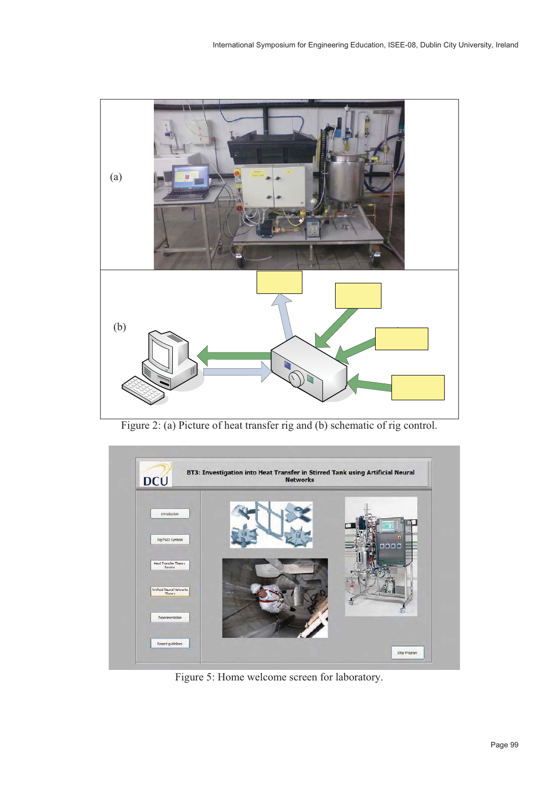

Figure 2: (a) Picture of heat transfer rig and (b) schematic of rig control.



Figure 5: Home welcome screen for laboratory.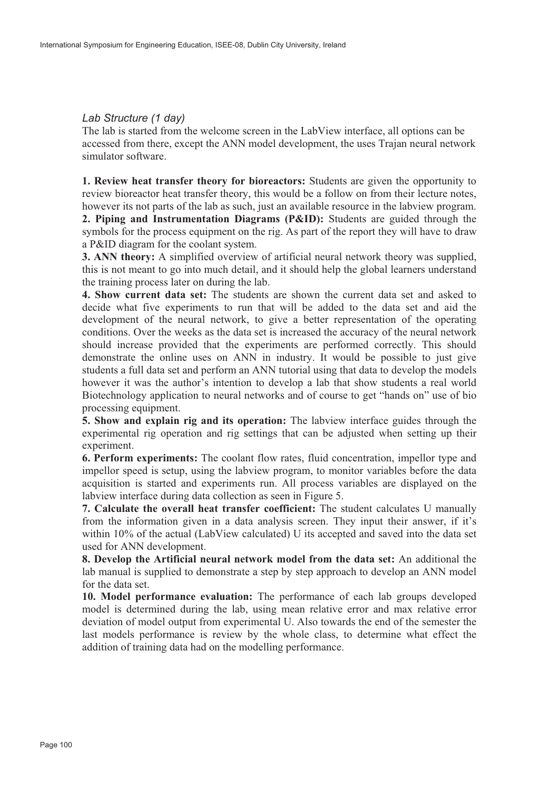### *Lab Structure (1 day)*

The lab is started from the welcome screen in the LabView interface, all options can be accessed from there, except the ANN model development, the uses Trajan neural network simulator software.

**1. Review heat transfer theory for bioreactors:** Students are given the opportunity to review bioreactor heat transfer theory, this would be a follow on from their lecture notes, however its not parts of the lab as such, just an available resource in the labview program. **2. Piping and Instrumentation Diagrams (P&ID):** Students are guided through the

symbols for the process equipment on the rig. As part of the report they will have to draw a P&ID diagram for the coolant system.

**3. ANN theory:** A simplified overview of artificial neural network theory was supplied, this is not meant to go into much detail, and it should help the global learners understand the training process later on during the lab.

**4. Show current data set:** The students are shown the current data set and asked to decide what five experiments to run that will be added to the data set and aid the development of the neural network, to give a better representation of the operating conditions. Over the weeks as the data set is increased the accuracy of the neural network should increase provided that the experiments are performed correctly. This should demonstrate the online uses on ANN in industry. It would be possible to just give students a full data set and perform an ANN tutorial using that data to develop the models however it was the author's intention to develop a lab that show students a real world Biotechnology application to neural networks and of course to get "hands on" use of bio processing equipment.

**5. Show and explain rig and its operation:** The labview interface guides through the experimental rig operation and rig settings that can be adjusted when setting up their experiment.

**6. Perform experiments:** The coolant flow rates, fluid concentration, impellor type and impellor speed is setup, using the labview program, to monitor variables before the data acquisition is started and experiments run. All process variables are displayed on the labview interface during data collection as seen in Figure 5.

**7. Calculate the overall heat transfer coefficient:** The student calculates U manually from the information given in a data analysis screen. They input their answer, if it's within 10% of the actual (LabView calculated) U its accepted and saved into the data set used for ANN development.

**8. Develop the Artificial neural network model from the data set:** An additional the lab manual is supplied to demonstrate a step by step approach to develop an ANN model for the data set.

**10. Model performance evaluation:** The performance of each lab groups developed model is determined during the lab, using mean relative error and max relative error deviation of model output from experimental U. Also towards the end of the semester the last models performance is review by the whole class, to determine what effect the addition of training data had on the modelling performance.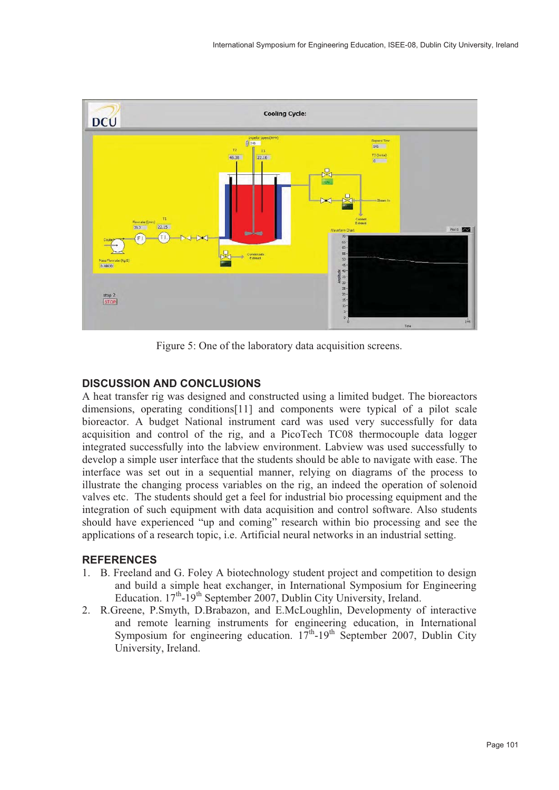

Figure 5: One of the laboratory data acquisition screens.

## **DISCUSSION AND CONCLUSIONS**

A heat transfer rig was designed and constructed using a limited budget. The bioreactors dimensions, operating conditions[11] and components were typical of a pilot scale bioreactor. A budget National instrument card was used very successfully for data acquisition and control of the rig, and a PicoTech TC08 thermocouple data logger integrated successfully into the labview environment. Labview was used successfully to develop a simple user interface that the students should be able to navigate with ease. The interface was set out in a sequential manner, relying on diagrams of the process to illustrate the changing process variables on the rig, an indeed the operation of solenoid valves etc. The students should get a feel for industrial bio processing equipment and the integration of such equipment with data acquisition and control software. Also students should have experienced "up and coming" research within bio processing and see the applications of a research topic, i.e. Artificial neural networks in an industrial setting.

## **REFERENCES**

- 1. B. Freeland and G. Foley A biotechnology student project and competition to design and build a simple heat exchanger, in International Symposium for Engineering Education. 17<sup>th</sup>-19<sup>th</sup> September 2007, Dublin City University, Ireland.
- 2. R.Greene, P.Smyth, D.Brabazon, and E.McLoughlin, Developmenty of interactive and remote learning instruments for engineering education, in International Symposium for engineering education.  $17^{th}$ -19<sup>th</sup> September 2007, Dublin City University, Ireland.